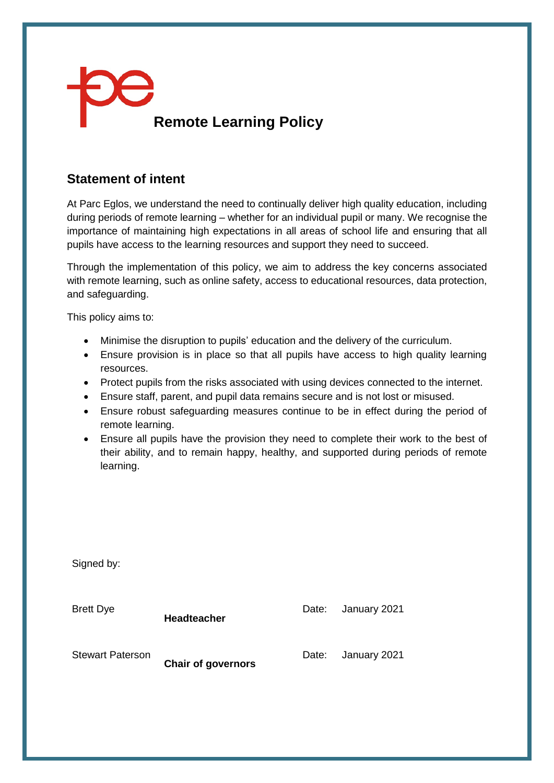

## **Statement of intent**

At Parc Eglos, we understand the need to continually deliver high quality education, including during periods of remote learning – whether for an individual pupil or many. We recognise the importance of maintaining high expectations in all areas of school life and ensuring that all pupils have access to the learning resources and support they need to succeed.

Through the implementation of this policy, we aim to address the key concerns associated with remote learning, such as online safety, access to educational resources, data protection, and safeguarding.

This policy aims to:

Signed by:

- Minimise the disruption to pupils' education and the delivery of the curriculum.
- Ensure provision is in place so that all pupils have access to high quality learning resources.
- Protect pupils from the risks associated with using devices connected to the internet.
- Ensure staff, parent, and pupil data remains secure and is not lost or misused.
- Ensure robust safeguarding measures continue to be in effect during the period of remote learning.
- Ensure all pupils have the provision they need to complete their work to the best of their ability, and to remain happy, healthy, and supported during periods of remote learning.

| <b>Brett Dye</b>        | <b>Headteacher</b>        | Date: | January 2021 |
|-------------------------|---------------------------|-------|--------------|
| <b>Stewart Paterson</b> | <b>Chair of governors</b> | Date: | January 2021 |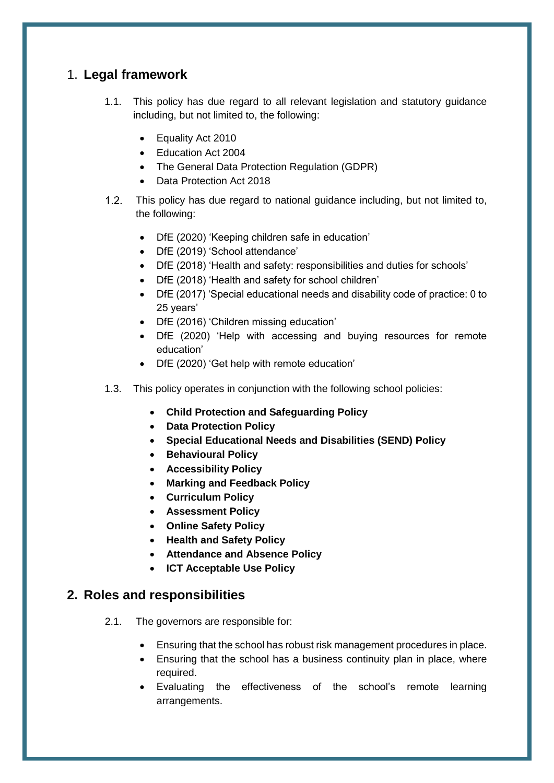# 1. **Legal framework**

- 1.1. This policy has due regard to all relevant legislation and statutory guidance including, but not limited to, the following:
	- Equality Act 2010
	- Education Act 2004
	- The General Data Protection Regulation (GDPR)
	- Data Protection Act 2018
- This policy has due regard to national guidance including, but not limited to,  $1.2<sub>1</sub>$ the following:
	- DfE (2020) 'Keeping children safe in education'
	- DfE (2019) 'School attendance'
	- DfE (2018) 'Health and safety: responsibilities and duties for schools'
	- DfE (2018) 'Health and safety for school children'
	- DfE (2017) 'Special educational needs and disability code of practice: 0 to 25 years'
	- DfE (2016) 'Children missing education'
	- DfE (2020) 'Help with accessing and buying resources for remote education'
	- DfE (2020) 'Get help with remote education'
- 1.3. This policy operates in conjunction with the following school policies:
	- **Child Protection and Safeguarding Policy**
	- **Data Protection Policy**
	- **Special Educational Needs and Disabilities (SEND) Policy**
	- **Behavioural Policy**
	- **Accessibility Policy**
	- **Marking and Feedback Policy**
	- **Curriculum Policy**
	- **Assessment Policy**
	- **Online Safety Policy**
	- **Health and Safety Policy**
	- **Attendance and Absence Policy**
	- **ICT Acceptable Use Policy**

#### **2. Roles and responsibilities**

- 2.1. The governors are responsible for:
	- Ensuring that the school has robust risk management procedures in place.
	- Ensuring that the school has a business continuity plan in place, where required.
	- Evaluating the effectiveness of the school's remote learning arrangements.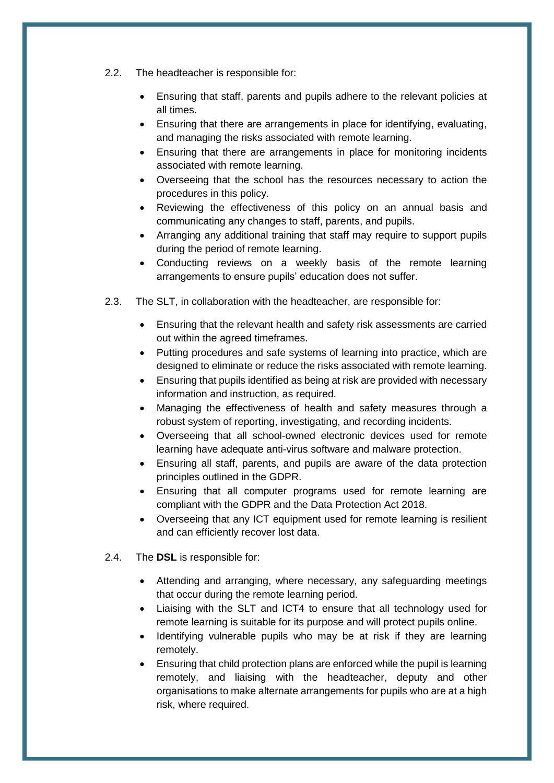- 2.2. The headteacher is responsible for:
	- Ensuring that staff, parents and pupils adhere to the relevant policies at all times.
	- Ensuring that there are arrangements in place for identifying, evaluating, and managing the risks associated with remote learning.
	- Ensuring that there are arrangements in place for monitoring incidents associated with remote learning.
	- Overseeing that the school has the resources necessary to action the procedures in this policy.
	- Reviewing the effectiveness of this policy on an annual basis and communicating any changes to staff, parents, and pupils.
	- Arranging any additional training that staff may require to support pupils during the period of remote learning.
	- Conducting reviews on a weekly basis of the remote learning arrangements to ensure pupils' education does not suffer.
- 2.3. The SLT, in collaboration with the headteacher, are responsible for:
	- Ensuring that the relevant health and safety risk assessments are carried out within the agreed timeframes.
	- Putting procedures and safe systems of learning into practice, which are designed to eliminate or reduce the risks associated with remote learning.
	- Ensuring that pupils identified as being at risk are provided with necessary information and instruction, as required.
	- Managing the effectiveness of health and safety measures through a robust system of reporting, investigating, and recording incidents.
	- Overseeing that all school-owned electronic devices used for remote learning have adequate anti-virus software and malware protection.
	- Ensuring all staff, parents, and pupils are aware of the data protection principles outlined in the GDPR.
	- Ensuring that all computer programs used for remote learning are compliant with the GDPR and the Data Protection Act 2018.
	- Overseeing that any ICT equipment used for remote learning is resilient and can efficiently recover lost data.
- 2.4. The **DSL** is responsible for:
	- Attending and arranging, where necessary, any safeguarding meetings that occur during the remote learning period.
	- Liaising with the SLT and ICT4 to ensure that all technology used for remote learning is suitable for its purpose and will protect pupils online.
	- Identifying vulnerable pupils who may be at risk if they are learning remotely.
	- Ensuring that child protection plans are enforced while the pupil is learning remotely, and liaising with the headteacher, deputy and other organisations to make alternate arrangements for pupils who are at a high risk, where required.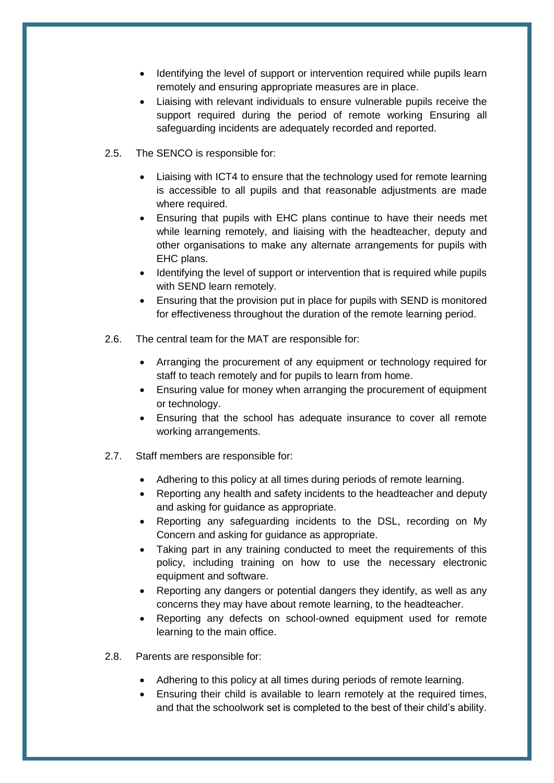- Identifying the level of support or intervention required while pupils learn remotely and ensuring appropriate measures are in place.
- Liaising with relevant individuals to ensure vulnerable pupils receive the support required during the period of remote working Ensuring all safeguarding incidents are adequately recorded and reported.
- 2.5. The SENCO is responsible for:
	- Liaising with ICT4 to ensure that the technology used for remote learning is accessible to all pupils and that reasonable adjustments are made where required.
	- Ensuring that pupils with EHC plans continue to have their needs met while learning remotely, and liaising with the headteacher, deputy and other organisations to make any alternate arrangements for pupils with EHC plans.
	- Identifying the level of support or intervention that is required while pupils with SEND learn remotely.
	- Ensuring that the provision put in place for pupils with SEND is monitored for effectiveness throughout the duration of the remote learning period.
- 2.6. The central team for the MAT are responsible for:
	- Arranging the procurement of any equipment or technology required for staff to teach remotely and for pupils to learn from home.
	- Ensuring value for money when arranging the procurement of equipment or technology.
	- Ensuring that the school has adequate insurance to cover all remote working arrangements.
- 2.7. Staff members are responsible for:
	- Adhering to this policy at all times during periods of remote learning.
	- Reporting any health and safety incidents to the headteacher and deputy and asking for guidance as appropriate.
	- Reporting any safeguarding incidents to the DSL, recording on My Concern and asking for guidance as appropriate.
	- Taking part in any training conducted to meet the requirements of this policy, including training on how to use the necessary electronic equipment and software.
	- Reporting any dangers or potential dangers they identify, as well as any concerns they may have about remote learning, to the headteacher.
	- Reporting any defects on school-owned equipment used for remote learning to the main office.
- 2.8. Parents are responsible for:
	- Adhering to this policy at all times during periods of remote learning.
	- Ensuring their child is available to learn remotely at the required times, and that the schoolwork set is completed to the best of their child's ability.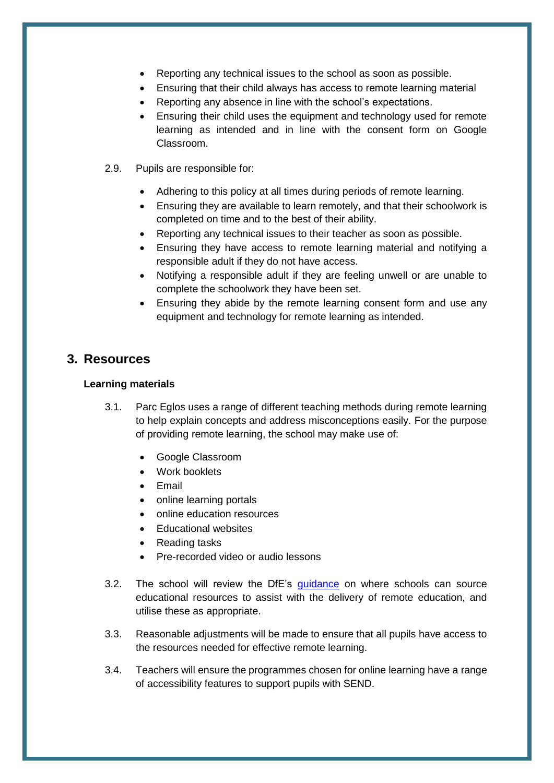- Reporting any technical issues to the school as soon as possible.
- Ensuring that their child always has access to remote learning material
- Reporting any absence in line with the school's expectations.
- Ensuring their child uses the equipment and technology used for remote learning as intended and in line with the consent form on Google Classroom.
- 2.9. Pupils are responsible for:
	- Adhering to this policy at all times during periods of remote learning.
	- Ensuring they are available to learn remotely, and that their schoolwork is completed on time and to the best of their ability.
	- Reporting any technical issues to their teacher as soon as possible.
	- Ensuring they have access to remote learning material and notifying a responsible adult if they do not have access.
	- Notifying a responsible adult if they are feeling unwell or are unable to complete the schoolwork they have been set.
	- Ensuring they abide by the remote learning consent form and use any equipment and technology for remote learning as intended.

### **3. Resources**

#### **Learning materials**

- 3.1. Parc Eglos uses a range of different teaching methods during remote learning to help explain concepts and address misconceptions easily. For the purpose of providing remote learning, the school may make use of:
	- Google Classroom
	- Work booklets
	- Email
	- online learning portals
	- online education resources
	- Educational websites
	- Reading tasks
	- Pre-recorded video or audio lessons
- 3.2. The school will review the DfE's [guidance](https://www.gov.uk/guidance/help-with-accessing-and-buying-resources-for-remote-education) on where schools can source educational resources to assist with the delivery of remote education, and utilise these as appropriate.
- 3.3. Reasonable adjustments will be made to ensure that all pupils have access to the resources needed for effective remote learning.
- 3.4. Teachers will ensure the programmes chosen for online learning have a range of accessibility features to support pupils with SEND.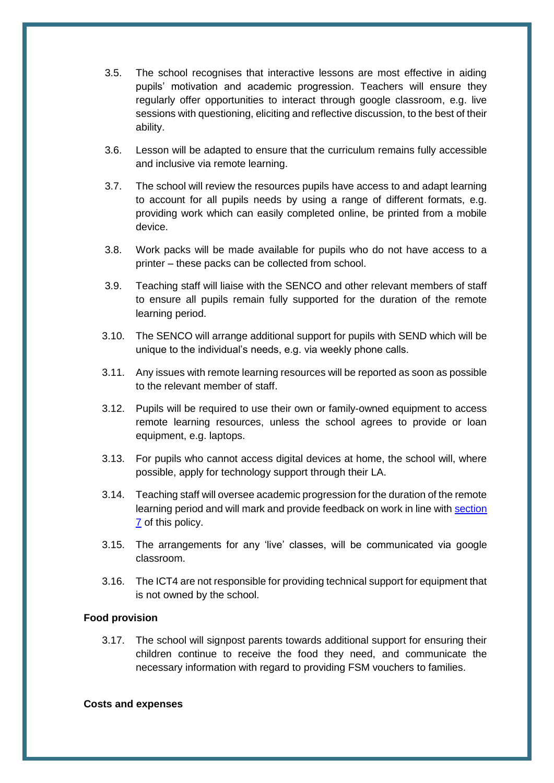- 3.5. The school recognises that interactive lessons are most effective in aiding pupils' motivation and academic progression. Teachers will ensure they regularly offer opportunities to interact through google classroom, e.g. live sessions with questioning, eliciting and reflective discussion, to the best of their ability.
- 3.6. Lesson will be adapted to ensure that the curriculum remains fully accessible and inclusive via remote learning.
- 3.7. The school will review the resources pupils have access to and adapt learning to account for all pupils needs by using a range of different formats, e.g. providing work which can easily completed online, be printed from a mobile device.
- 3.8. Work packs will be made available for pupils who do not have access to a printer – these packs can be collected from school.
- 3.9. Teaching staff will liaise with the SENCO and other relevant members of staff to ensure all pupils remain fully supported for the duration of the remote learning period.
- 3.10. The SENCO will arrange additional support for pupils with SEND which will be unique to the individual's needs, e.g. via weekly phone calls.
- 3.11. Any issues with remote learning resources will be reported as soon as possible to the relevant member of staff.
- 3.12. Pupils will be required to use their own or family-owned equipment to access remote learning resources, unless the school agrees to provide or loan equipment, e.g. laptops.
- 3.13. For pupils who cannot access digital devices at home, the school will, where possible, apply for technology support through their LA.
- 3.14. Teaching staff will oversee academic progression for the duration of the remote learning period and will mark and provide feedback on work in line with [section](#page-8-0)  [7](#page-8-0) of this policy.
- 3.15. The arrangements for any 'live' classes, will be communicated via google classroom.
- 3.16. The ICT4 are not responsible for providing technical support for equipment that is not owned by the school.

#### **Food provision**

3.17. The school will signpost parents towards additional support for ensuring their children continue to receive the food they need, and communicate the necessary information with regard to providing FSM vouchers to families.

#### **Costs and expenses**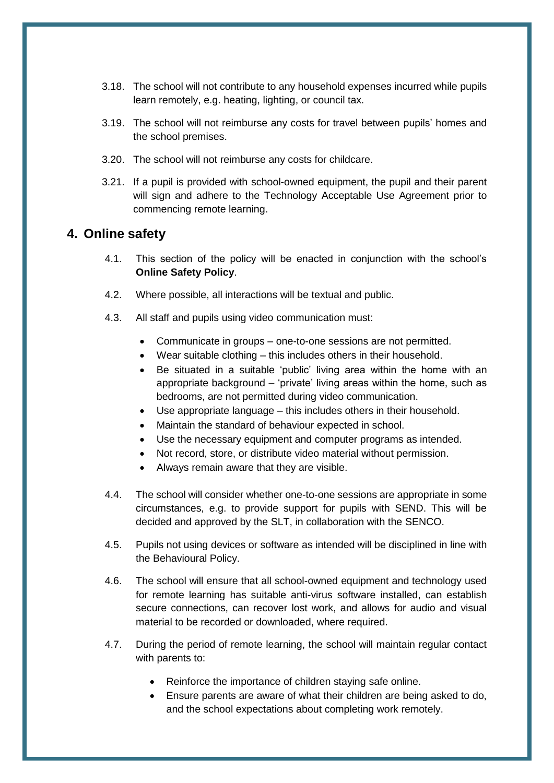- 3.18. The school will not contribute to any household expenses incurred while pupils learn remotely, e.g. heating, lighting, or council tax.
- 3.19. The school will not reimburse any costs for travel between pupils' homes and the school premises.
- 3.20. The school will not reimburse any costs for childcare.
- 3.21. If a pupil is provided with school-owned equipment, the pupil and their parent will sign and adhere to the Technology Acceptable Use Agreement prior to commencing remote learning.

#### **4. Online safety**

- 4.1. This section of the policy will be enacted in conjunction with the school's **Online Safety Policy**.
- 4.2. Where possible, all interactions will be textual and public.
- 4.3. All staff and pupils using video communication must:
	- Communicate in groups one-to-one sessions are not permitted.
	- Wear suitable clothing this includes others in their household.
	- Be situated in a suitable 'public' living area within the home with an appropriate background – 'private' living areas within the home, such as bedrooms, are not permitted during video communication.
	- Use appropriate language this includes others in their household.
	- Maintain the standard of behaviour expected in school.
	- Use the necessary equipment and computer programs as intended.
	- Not record, store, or distribute video material without permission.
	- Always remain aware that they are visible.
- 4.4. The school will consider whether one-to-one sessions are appropriate in some circumstances, e.g. to provide support for pupils with SEND. This will be decided and approved by the SLT, in collaboration with the SENCO.
- 4.5. Pupils not using devices or software as intended will be disciplined in line with the Behavioural Policy.
- 4.6. The school will ensure that all school-owned equipment and technology used for remote learning has suitable anti-virus software installed, can establish secure connections, can recover lost work, and allows for audio and visual material to be recorded or downloaded, where required.
- 4.7. During the period of remote learning, the school will maintain regular contact with parents to:
	- Reinforce the importance of children staying safe online.
	- Ensure parents are aware of what their children are being asked to do, and the school expectations about completing work remotely.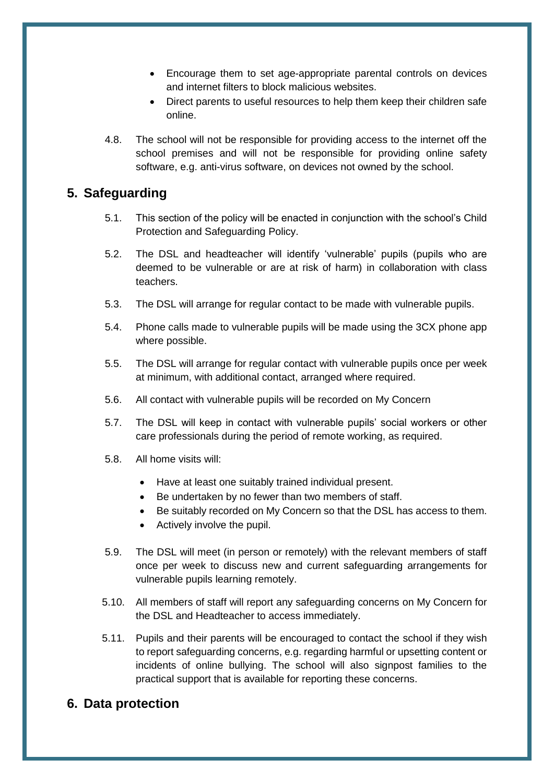- Encourage them to set age-appropriate parental controls on devices and internet filters to block malicious websites.
- Direct parents to useful resources to help them keep their children safe online.
- 4.8. The school will not be responsible for providing access to the internet off the school premises and will not be responsible for providing online safety software, e.g. anti-virus software, on devices not owned by the school.

### **5. Safeguarding**

- 5.1. This section of the policy will be enacted in conjunction with the school's Child Protection and Safeguarding Policy.
- 5.2. The DSL and headteacher will identify 'vulnerable' pupils (pupils who are deemed to be vulnerable or are at risk of harm) in collaboration with class teachers.
- 5.3. The DSL will arrange for regular contact to be made with vulnerable pupils.
- 5.4. Phone calls made to vulnerable pupils will be made using the 3CX phone app where possible.
- 5.5. The DSL will arrange for regular contact with vulnerable pupils once per week at minimum, with additional contact, arranged where required.
- 5.6. All contact with vulnerable pupils will be recorded on My Concern
- 5.7. The DSL will keep in contact with vulnerable pupils' social workers or other care professionals during the period of remote working, as required.
- 5.8. All home visits will:
	- Have at least one suitably trained individual present.
	- Be undertaken by no fewer than two members of staff.
	- Be suitably recorded on My Concern so that the DSL has access to them.
	- Actively involve the pupil.
- 5.9. The DSL will meet (in person or remotely) with the relevant members of staff once per week to discuss new and current safeguarding arrangements for vulnerable pupils learning remotely.
- 5.10. All members of staff will report any safeguarding concerns on My Concern for the DSL and Headteacher to access immediately.
- 5.11. Pupils and their parents will be encouraged to contact the school if they wish to report safeguarding concerns, e.g. regarding harmful or upsetting content or incidents of online bullying. The school will also signpost families to the practical support that is available for reporting these concerns.

### **6. Data protection**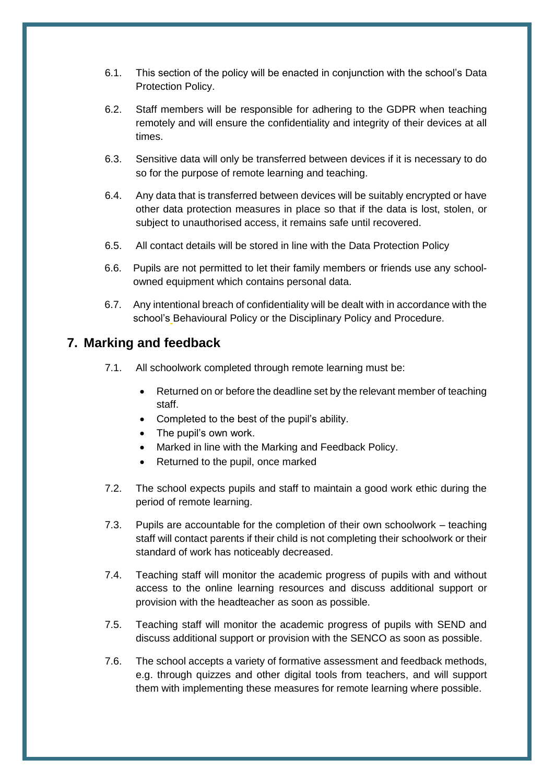- 6.1. This section of the policy will be enacted in conjunction with the school's Data Protection Policy.
- 6.2. Staff members will be responsible for adhering to the GDPR when teaching remotely and will ensure the confidentiality and integrity of their devices at all times.
- 6.3. Sensitive data will only be transferred between devices if it is necessary to do so for the purpose of remote learning and teaching.
- 6.4. Any data that is transferred between devices will be suitably encrypted or have other data protection measures in place so that if the data is lost, stolen, or subject to unauthorised access, it remains safe until recovered.
- 6.5. All contact details will be stored in line with the Data Protection Policy
- 6.6. Pupils are not permitted to let their family members or friends use any schoolowned equipment which contains personal data.
- 6.7. Any intentional breach of confidentiality will be dealt with in accordance with the school's Behavioural Policy or the Disciplinary Policy and Procedure.

#### <span id="page-8-0"></span>**7. Marking and feedback**

- 7.1. All schoolwork completed through remote learning must be:
	- Returned on or before the deadline set by the relevant member of teaching staff.
	- Completed to the best of the pupil's ability.
	- The pupil's own work.
	- Marked in line with the Marking and Feedback Policy.
	- Returned to the pupil, once marked
- 7.2. The school expects pupils and staff to maintain a good work ethic during the period of remote learning.
- 7.3. Pupils are accountable for the completion of their own schoolwork teaching staff will contact parents if their child is not completing their schoolwork or their standard of work has noticeably decreased.
- 7.4. Teaching staff will monitor the academic progress of pupils with and without access to the online learning resources and discuss additional support or provision with the headteacher as soon as possible.
- 7.5. Teaching staff will monitor the academic progress of pupils with SEND and discuss additional support or provision with the SENCO as soon as possible.
- 7.6. The school accepts a variety of formative assessment and feedback methods, e.g. through quizzes and other digital tools from teachers, and will support them with implementing these measures for remote learning where possible.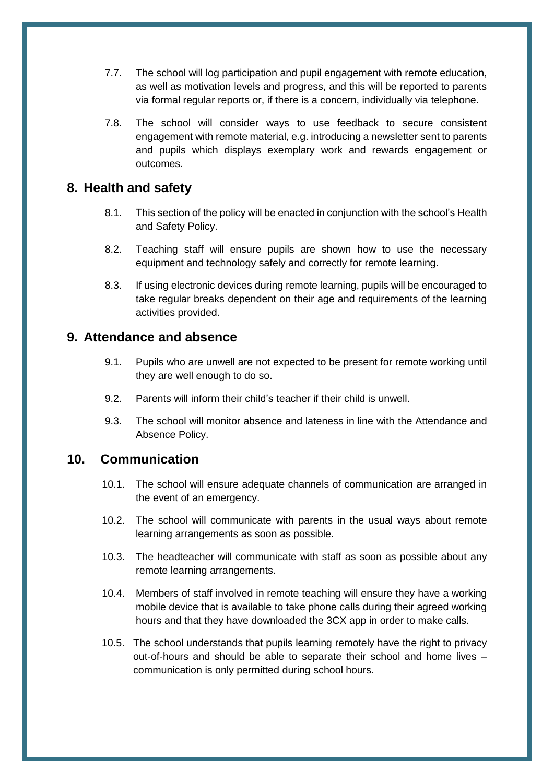- 7.7. The school will log participation and pupil engagement with remote education, as well as motivation levels and progress, and this will be reported to parents via formal regular reports or, if there is a concern, individually via telephone.
- 7.8. The school will consider ways to use feedback to secure consistent engagement with remote material, e.g. introducing a newsletter sent to parents and pupils which displays exemplary work and rewards engagement or outcomes.

#### **8. Health and safety**

- 8.1. This section of the policy will be enacted in conjunction with the school's Health and Safety Policy.
- 8.2. Teaching staff will ensure pupils are shown how to use the necessary equipment and technology safely and correctly for remote learning.
- 8.3. If using electronic devices during remote learning, pupils will be encouraged to take regular breaks dependent on their age and requirements of the learning activities provided.

### **9. Attendance and absence**

- 9.1. Pupils who are unwell are not expected to be present for remote working until they are well enough to do so.
- 9.2. Parents will inform their child's teacher if their child is unwell.
- 9.3. The school will monitor absence and lateness in line with the Attendance and Absence Policy.

#### **10. Communication**

- 10.1. The school will ensure adequate channels of communication are arranged in the event of an emergency.
- 10.2. The school will communicate with parents in the usual ways about remote learning arrangements as soon as possible.
- 10.3. The headteacher will communicate with staff as soon as possible about any remote learning arrangements.
- 10.4. Members of staff involved in remote teaching will ensure they have a working mobile device that is available to take phone calls during their agreed working hours and that they have downloaded the 3CX app in order to make calls.
- 10.5. The school understands that pupils learning remotely have the right to privacy out-of-hours and should be able to separate their school and home lives – communication is only permitted during school hours.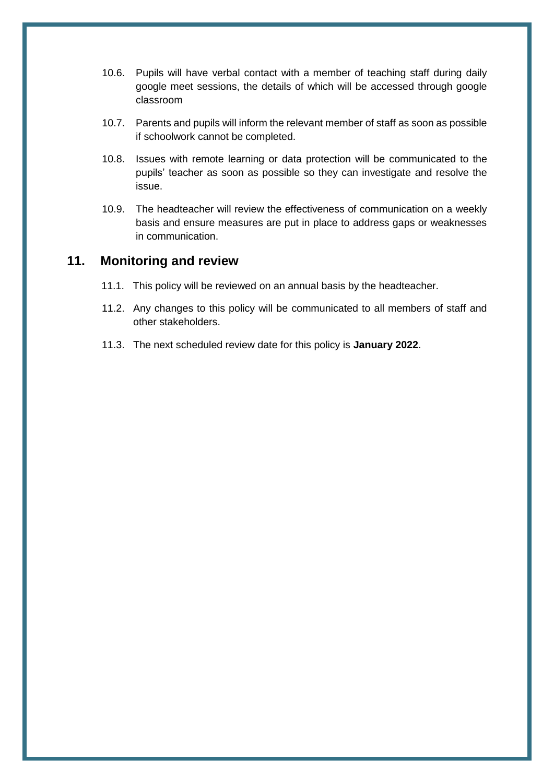- 10.6. Pupils will have verbal contact with a member of teaching staff during daily google meet sessions, the details of which will be accessed through google classroom
- 10.7. Parents and pupils will inform the relevant member of staff as soon as possible if schoolwork cannot be completed.
- 10.8. Issues with remote learning or data protection will be communicated to the pupils' teacher as soon as possible so they can investigate and resolve the issue.
- 10.9. The headteacher will review the effectiveness of communication on a weekly basis and ensure measures are put in place to address gaps or weaknesses in communication.

### **11. Monitoring and review**

- 11.1. This policy will be reviewed on an annual basis by the headteacher.
- 11.2. Any changes to this policy will be communicated to all members of staff and other stakeholders.
- 11.3. The next scheduled review date for this policy is **January 2022**.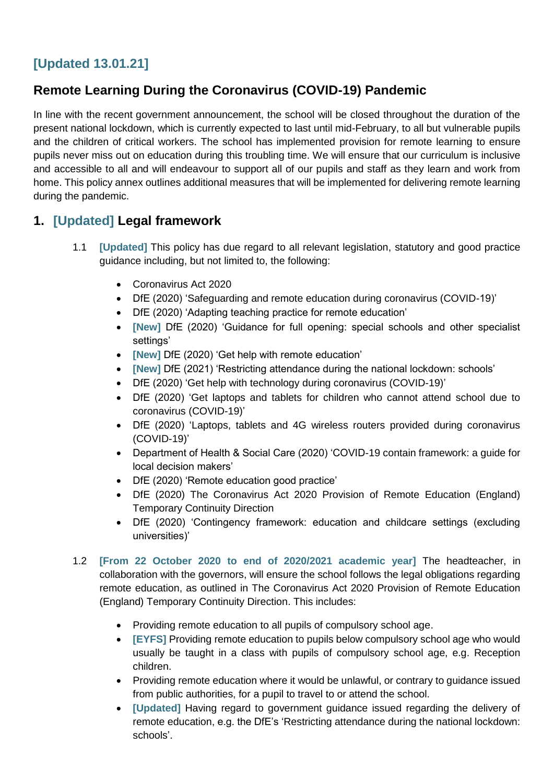# **[Updated 13.01.21]**

# **Remote Learning During the Coronavirus (COVID-19) Pandemic**

In line with the recent government announcement, the school will be closed throughout the duration of the present national lockdown, which is currently expected to last until mid-February, to all but vulnerable pupils and the children of critical workers. The school has implemented provision for remote learning to ensure pupils never miss out on education during this troubling time. We will ensure that our curriculum is inclusive and accessible to all and will endeavour to support all of our pupils and staff as they learn and work from home. This policy annex outlines additional measures that will be implemented for delivering remote learning during the pandemic.

# **1. [Updated] Legal framework**

- 1.1 **[Updated]** This policy has due regard to all relevant legislation, statutory and good practice guidance including, but not limited to, the following:
	- Coronavirus Act 2020
	- DfE (2020) 'Safeguarding and remote education during coronavirus (COVID-19)'
	- DfE (2020) 'Adapting teaching practice for remote education'
	- **[New]** DfE (2020) 'Guidance for full opening: special schools and other specialist settings'
	- **[New]** DfE (2020) 'Get help with remote education'
	- **[New]** DfE (2021) 'Restricting attendance during the national lockdown: schools'
	- DfE (2020) 'Get help with technology during coronavirus (COVID-19)'
	- DfE (2020) 'Get laptops and tablets for children who cannot attend school due to coronavirus (COVID-19)'
	- DfE (2020) 'Laptops, tablets and 4G wireless routers provided during coronavirus (COVID-19)'
	- Department of Health & Social Care (2020) 'COVID-19 contain framework: a guide for local decision makers'
	- DfE (2020) 'Remote education good practice'
	- DfE (2020) The Coronavirus Act 2020 Provision of Remote Education (England) Temporary Continuity Direction
	- DfE (2020) 'Contingency framework: education and childcare settings (excluding universities)'
- 1.2 **[From 22 October 2020 to end of 2020/2021 academic year]** The headteacher, in collaboration with the governors, will ensure the school follows the legal obligations regarding remote education, as outlined in The Coronavirus Act 2020 Provision of Remote Education (England) Temporary Continuity Direction. This includes:
	- Providing remote education to all pupils of compulsory school age.
	- **[EYFS]** Providing remote education to pupils below compulsory school age who would usually be taught in a class with pupils of compulsory school age, e.g. Reception children.
	- Providing remote education where it would be unlawful, or contrary to guidance issued from public authorities, for a pupil to travel to or attend the school.
	- **[Updated]** Having regard to government guidance issued regarding the delivery of remote education, e.g. the DfE's 'Restricting attendance during the national lockdown: schools'.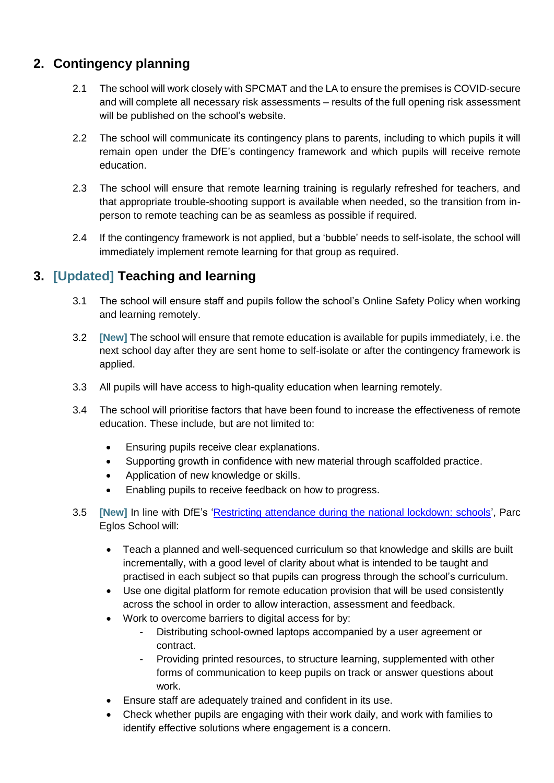# **2. Contingency planning**

- 2.1 The school will work closely with SPCMAT and the LA to ensure the premises is COVID-secure and will complete all necessary risk assessments – results of the full opening risk assessment will be published on the school's website.
- 2.2 The school will communicate its contingency plans to parents, including to which pupils it will remain open under the DfE's contingency framework and which pupils will receive remote education.
- 2.3 The school will ensure that remote learning training is regularly refreshed for teachers, and that appropriate trouble-shooting support is available when needed, so the transition from inperson to remote teaching can be as seamless as possible if required.
- 2.4 If the contingency framework is not applied, but a 'bubble' needs to self-isolate, the school will immediately implement remote learning for that group as required.

# **3. [Updated] Teaching and learning**

- 3.1 The school will ensure staff and pupils follow the school's Online Safety Policy when working and learning remotely.
- 3.2 **[New]** The school will ensure that remote education is available for pupils immediately, i.e. the next school day after they are sent home to self-isolate or after the contingency framework is applied.
- 3.3 All pupils will have access to high-quality education when learning remotely.
- 3.4 The school will prioritise factors that have been found to increase the effectiveness of remote education. These include, but are not limited to:
	- Ensuring pupils receive clear explanations.
	- Supporting growth in confidence with new material through scaffolded practice.
	- Application of new knowledge or skills.
	- Enabling pupils to receive feedback on how to progress.
- 3.5 **[New]** In line with DfE's ['Restricting attendance during the national lockdown: schools'](https://www.gov.uk/government/publications/actions-for-schools-during-the-coronavirus-outbreak), Parc Eglos School will:
	- Teach a planned and well-sequenced curriculum so that knowledge and skills are built incrementally, with a good level of clarity about what is intended to be taught and practised in each subject so that pupils can progress through the school's curriculum.
	- Use one digital platform for remote education provision that will be used consistently across the school in order to allow interaction, assessment and feedback.
	- Work to overcome barriers to digital access for by:
		- Distributing school-owned laptops accompanied by a user agreement or contract.
		- Providing printed resources, to structure learning, supplemented with other forms of communication to keep pupils on track or answer questions about work.
	- Ensure staff are adequately trained and confident in its use.
	- Check whether pupils are engaging with their work daily, and work with families to identify effective solutions where engagement is a concern.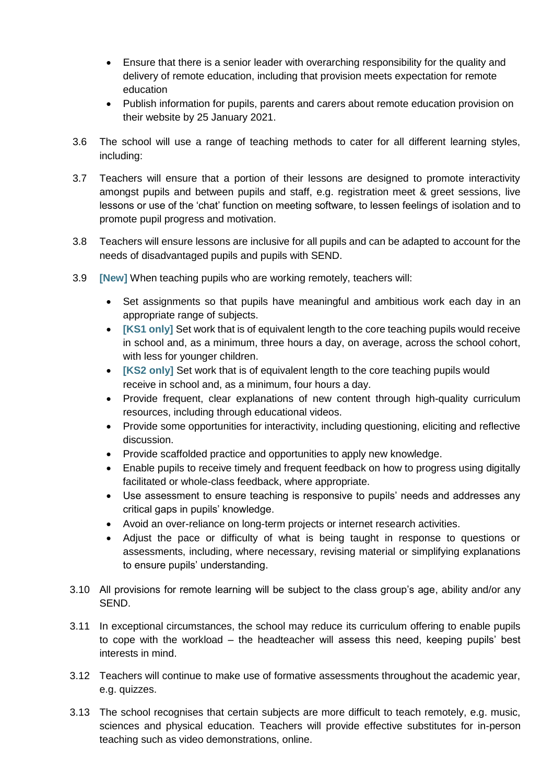- Ensure that there is a senior leader with overarching responsibility for the quality and delivery of remote education, including that provision meets expectation for remote education
- Publish information for pupils, parents and carers about remote education provision on their website by 25 January 2021.
- 3.6 The school will use a range of teaching methods to cater for all different learning styles, including:
- 3.7 Teachers will ensure that a portion of their lessons are designed to promote interactivity amongst pupils and between pupils and staff, e.g. registration meet & greet sessions, live lessons or use of the 'chat' function on meeting software, to lessen feelings of isolation and to promote pupil progress and motivation.
- 3.8 Teachers will ensure lessons are inclusive for all pupils and can be adapted to account for the needs of disadvantaged pupils and pupils with SEND.
- 3.9 **[New]** When teaching pupils who are working remotely, teachers will:
	- Set assignments so that pupils have meaningful and ambitious work each day in an appropriate range of subjects.
	- **[KS1 only]** Set work that is of equivalent length to the core teaching pupils would receive in school and, as a minimum, three hours a day, on average, across the school cohort, with less for younger children.
	- **[KS2 only]** Set work that is of equivalent length to the core teaching pupils would receive in school and, as a minimum, four hours a day.
	- Provide frequent, clear explanations of new content through high-quality curriculum resources, including through educational videos.
	- Provide some opportunities for interactivity, including questioning, eliciting and reflective discussion.
	- Provide scaffolded practice and opportunities to apply new knowledge.
	- Enable pupils to receive timely and frequent feedback on how to progress using digitally facilitated or whole-class feedback, where appropriate.
	- Use assessment to ensure teaching is responsive to pupils' needs and addresses any critical gaps in pupils' knowledge.
	- Avoid an over-reliance on long-term projects or internet research activities.
	- Adjust the pace or difficulty of what is being taught in response to questions or assessments, including, where necessary, revising material or simplifying explanations to ensure pupils' understanding.
- 3.10 All provisions for remote learning will be subject to the class group's age, ability and/or any SEND.
- 3.11 In exceptional circumstances, the school may reduce its curriculum offering to enable pupils to cope with the workload – the headteacher will assess this need, keeping pupils' best interests in mind.
- 3.12 Teachers will continue to make use of formative assessments throughout the academic year, e.g. quizzes.
- 3.13 The school recognises that certain subjects are more difficult to teach remotely, e.g. music, sciences and physical education. Teachers will provide effective substitutes for in-person teaching such as video demonstrations, online.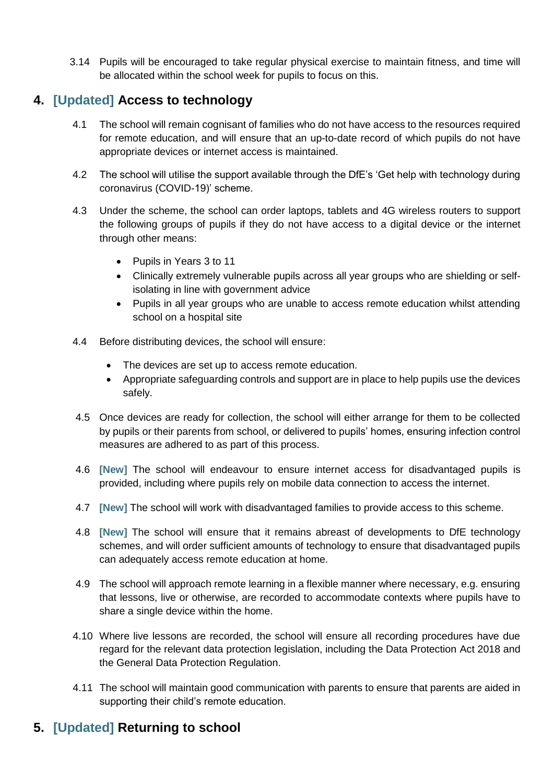3.14 Pupils will be encouraged to take regular physical exercise to maintain fitness, and time will be allocated within the school week for pupils to focus on this.

## **4. [Updated] Access to technology**

- 4.1 The school will remain cognisant of families who do not have access to the resources required for remote education, and will ensure that an up-to-date record of which pupils do not have appropriate devices or internet access is maintained.
- 4.2 The school will utilise the support available through the DfE's 'Get help with technology during coronavirus (COVID-19)' scheme.
- 4.3 Under the scheme, the school can order laptops, tablets and 4G wireless routers to support the following groups of pupils if they do not have access to a digital device or the internet through other means:
	- Pupils in Years 3 to 11
	- Clinically extremely vulnerable pupils across all year groups who are shielding or selfisolating in line with government advice
	- Pupils in all year groups who are unable to access remote education whilst attending school on a hospital site
- 4.4 Before distributing devices, the school will ensure:
	- The devices are set up to access remote education.
	- Appropriate safeguarding controls and support are in place to help pupils use the devices safely.
- 4.5 Once devices are ready for collection, the school will either arrange for them to be collected by pupils or their parents from school, or delivered to pupils' homes, ensuring infection control measures are adhered to as part of this process.
- 4.6 **[New]** The school will endeavour to ensure internet access for disadvantaged pupils is provided, including where pupils rely on mobile data connection to access the internet.
- 4.7 **[New]** The school will work with disadvantaged families to provide access to this scheme.
- 4.8 **[New]** The school will ensure that it remains abreast of developments to DfE technology schemes, and will order sufficient amounts of technology to ensure that disadvantaged pupils can adequately access remote education at home.
- 4.9 The school will approach remote learning in a flexible manner where necessary, e.g. ensuring that lessons, live or otherwise, are recorded to accommodate contexts where pupils have to share a single device within the home.
- 4.10 Where live lessons are recorded, the school will ensure all recording procedures have due regard for the relevant data protection legislation, including the Data Protection Act 2018 and the General Data Protection Regulation.
- 4.11 The school will maintain good communication with parents to ensure that parents are aided in supporting their child's remote education.

# **5. [Updated] Returning to school**